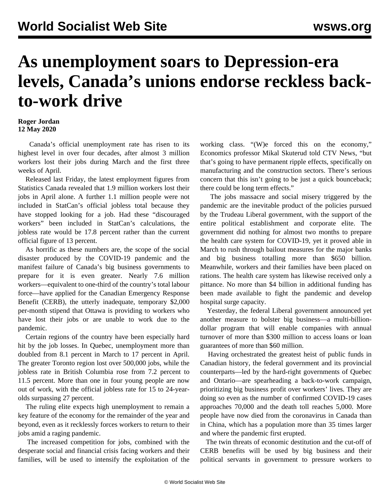## **As unemployment soars to Depression-era levels, Canada's unions endorse reckless backto-work drive**

## **Roger Jordan 12 May 2020**

 Canada's official unemployment rate has risen to its highest level in over four decades, after almost 3 million workers lost their jobs during March and the first three weeks of April.

 Released last Friday, the latest employment figures from Statistics Canada revealed that 1.9 million workers lost their jobs in April alone. A further 1.1 million people were not included in StatCan's official jobless total because they have stopped looking for a job. Had these "discouraged workers" been included in StatCan's calculations, the jobless rate would be 17.8 percent rather than the current official figure of 13 percent.

 As horrific as these numbers are, the scope of the social disaster produced by the COVID-19 pandemic and the manifest failure of Canada's big business governments to prepare for it is even greater. Nearly 7.6 million workers—equivalent to one-third of the country's total labour force—have applied for the Canadian Emergency Response Benefit (CERB), the utterly inadequate, temporary \$2,000 per-month stipend that Ottawa is providing to workers who have lost their jobs or are unable to work due to the pandemic.

 Certain regions of the country have been especially hard hit by the job losses. In Quebec, unemployment more than doubled from 8.1 percent in March to 17 percent in April. The greater Toronto region lost over 500,000 jobs, while the jobless rate in British Columbia rose from 7.2 percent to 11.5 percent. More than one in four young people are now out of work, with the official jobless rate for 15 to 24-yearolds surpassing 27 percent.

 The ruling elite expects high unemployment to remain a key feature of the economy for the remainder of the year and beyond, even as it recklessly forces workers to return to their jobs amid a raging pandemic.

 The increased competition for jobs, combined with the desperate social and financial crisis facing workers and their families, will be used to intensify the exploitation of the working class. "(W)e forced this on the economy," Economics professor Mikal Skuterud told CTV News, "but that's going to have permanent ripple effects, specifically on manufacturing and the construction sectors. There's serious concern that this isn't going to be just a quick bounceback; there could be long term effects."

 The jobs massacre and social misery triggered by the pandemic are the inevitable product of the policies pursued by the Trudeau Liberal government, with the support of the entire political establishment and corporate elite. The government did nothing for almost two months to prepare the health care system for COVID-19, yet it proved able in March to rush through bailout measures for the major banks and big business totalling more than \$650 billion. Meanwhile, workers and their families have been placed on rations. The health care system has likewise received only a pittance. No more than \$4 billion in additional funding has been made available to fight the pandemic and develop hospital surge capacity.

 Yesterday, the federal Liberal government announced yet another measure to bolster big business—a multi-billiondollar program that will enable companies with annual turnover of more than \$300 million to access loans or loan guarantees of more than \$60 million.

 Having orchestrated the greatest heist of public funds in Canadian history, the federal government and its provincial counterparts—led by the hard-right governments of Quebec and Ontario—are spearheading a back-to-work campaign, prioritizing big business profit over workers' lives. They are doing so even as the number of confirmed COVID-19 cases approaches 70,000 and the death toll reaches 5,000. More people have now died from the coronavirus in Canada than in China, which has a population more than 35 times larger and where the pandemic first erupted.

 The twin threats of economic destitution and the cut-off of CERB benefits will be used by big business and their political servants in government to pressure workers to